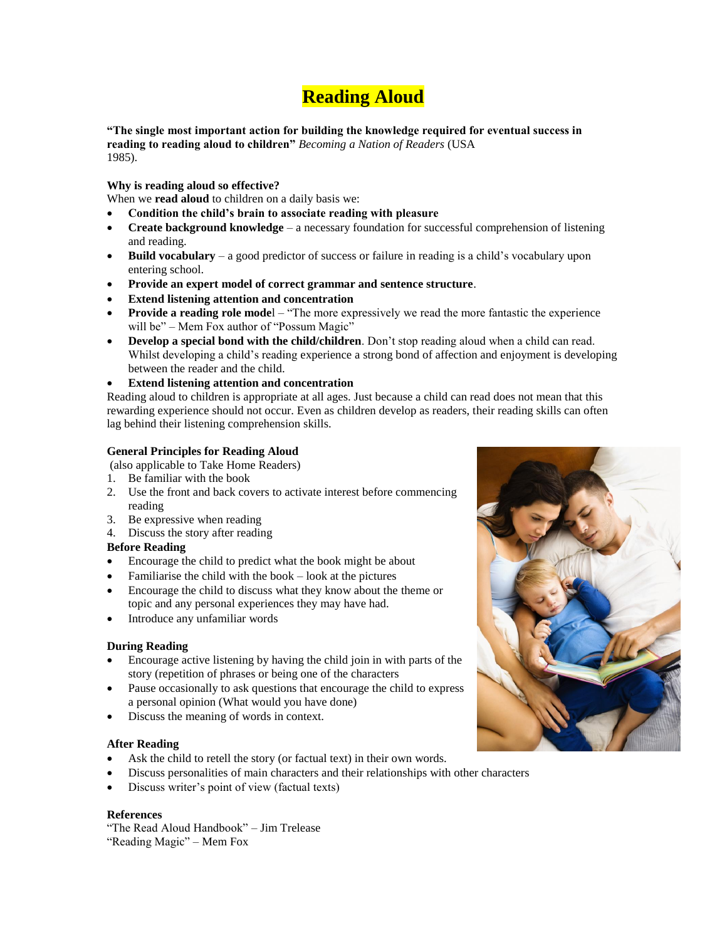# **Reading Aloud**

**"The single most important action for building the knowledge required for eventual success in reading to reading aloud to children"** *Becoming a Nation of Readers* (USA 1985).

**Why is reading aloud so effective?**

When we **read aloud** to children on a daily basis we:

- **Condition the child's brain to associate reading with pleasure**
- **Create background knowledge** a necessary foundation for successful comprehension of listening and reading.
- **Build vocabulary** a good predictor of success or failure in reading is a child's vocabulary upon entering school.
- **Provide an expert model of correct grammar and sentence structure**.
- **Extend listening attention and concentration**
- **Provide a reading role model** "The more expressively we read the more fantastic the experience will be" – Mem Fox author of "Possum Magic"
- **Develop a special bond with the child/children**. Don't stop reading aloud when a child can read. Whilst developing a child's reading experience a strong bond of affection and enjoyment is developing between the reader and the child.
- **Extend listening attention and concentration**

Reading aloud to children is appropriate at all ages. Just because a child can read does not mean that this rewarding experience should not occur. Even as children develop as readers, their reading skills can often lag behind their listening comprehension skills.

### **General Principles for Reading Aloud**

- (also applicable to Take Home Readers)
- 1. Be familiar with the book
- 2. Use the front and back covers to activate interest before commencing reading
- 3. Be expressive when reading
- 4. Discuss the story after reading

## **Before Reading**

- Encourage the child to predict what the book might be about
- Familiarise the child with the book look at the pictures
- Encourage the child to discuss what they know about the theme or topic and any personal experiences they may have had.
- Introduce any unfamiliar words

#### **During Reading**

- Encourage active listening by having the child join in with parts of the story (repetition of phrases or being one of the characters
- Pause occasionally to ask questions that encourage the child to express a personal opinion (What would you have done)
- Discuss the meaning of words in context.

#### **After Reading**

- Ask the child to retell the story (or factual text) in their own words.
- Discuss personalities of main characters and their relationships with other characters
- Discuss writer's point of view (factual texts)

#### **References**

"The Read Aloud Handbook" – Jim Trelease "Reading Magic" – Mem Fox